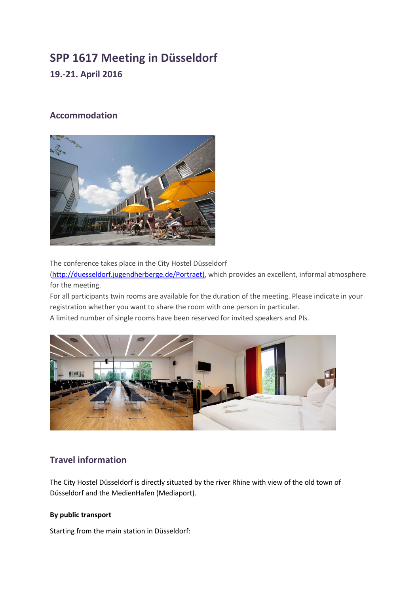# **SPP 1617 Meeting in Düsseldorf 19.-21. April 2016**

## **Accommodation**



The conference takes place in the City Hostel Düsseldorf

[\(http://duesseldorf.jugendherberge.de/Portraet\)](http://duesseldorf.jugendherberge.de/Portraet), which provides an excellent, informal atmosphere for the meeting.

For all participants twin rooms are available for the duration of the meeting. Please indicate in your registration whether you want to share the room with one person in particular.

A limited number of single rooms have been reserved for invited speakers and PIs.



## **Travel information**

The City Hostel Düsseldorf is directly situated by the river Rhine with view of the old town of Düsseldorf and the MedienHafen (Mediaport).

#### **By public transport**

Starting from the main station in Düsseldorf: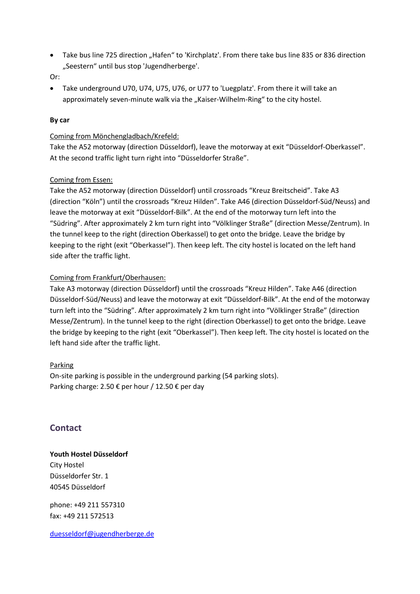- Take bus line 725 direction "Hafen" to 'Kirchplatz'. From there take bus line 835 or 836 direction "Seestern" until bus stop 'Jugendherberge'.
- Or:
- Take underground U70, U74, U75, U76, or U77 to 'Luegplatz'. From there it will take an approximately seven-minute walk via the "Kaiser-Wilhelm-Ring" to the city hostel.

#### **By car**

#### Coming from Mönchengladbach/Krefeld:

Take the A52 motorway (direction Düsseldorf), leave the motorway at exit "Düsseldorf‐Oberkassel". At the second traffic light turn right into "Düsseldorfer Straße".

#### Coming from Essen:

Take the A52 motorway (direction Düsseldorf) until crossroads "Kreuz Breitscheid". Take A3 (direction "Köln") until the crossroads "Kreuz Hilden". Take A46 (direction Düsseldorf-Süd/Neuss) and leave the motorway at exit "Düsseldorf-Bilk". At the end of the motorway turn left into the "Südring". After approximately 2 km turn right into "Völklinger Straße" (direction Messe/Zentrum). In the tunnel keep to the right (direction Oberkassel) to get onto the bridge. Leave the bridge by keeping to the right (exit "Oberkassel"). Then keep left. The city hostel is located on the left hand side after the traffic light.

#### Coming from Frankfurt/Oberhausen:

Take A3 motorway (direction Düsseldorf) until the crossroads "Kreuz Hilden". Take A46 (direction Düsseldorf-Süd/Neuss) and leave the motorway at exit "Düsseldorf-Bilk". At the end of the motorway turn left into the "Südring". After approximately 2 km turn right into "Völklinger Straße" (direction Messe/Zentrum). In the tunnel keep to the right (direction Oberkassel) to get onto the bridge. Leave the bridge by keeping to the right (exit "Oberkassel"). Then keep left. The city hostel is located on the left hand side after the traffic light.

#### **Parking**

On-site parking is possible in the underground parking (54 parking slots). Parking charge: 2.50 € per hour / 12.50 € per day

### **Contact**

#### **Youth Hostel Düsseldorf**

City Hostel Düsseldorfer Str. 1 40545 Düsseldorf

phone: +49 211 557310 fax: +49 211 572513

[duesseldorf@jugendherberge.de](mailto:duesseldorf@jugendherberge.de)